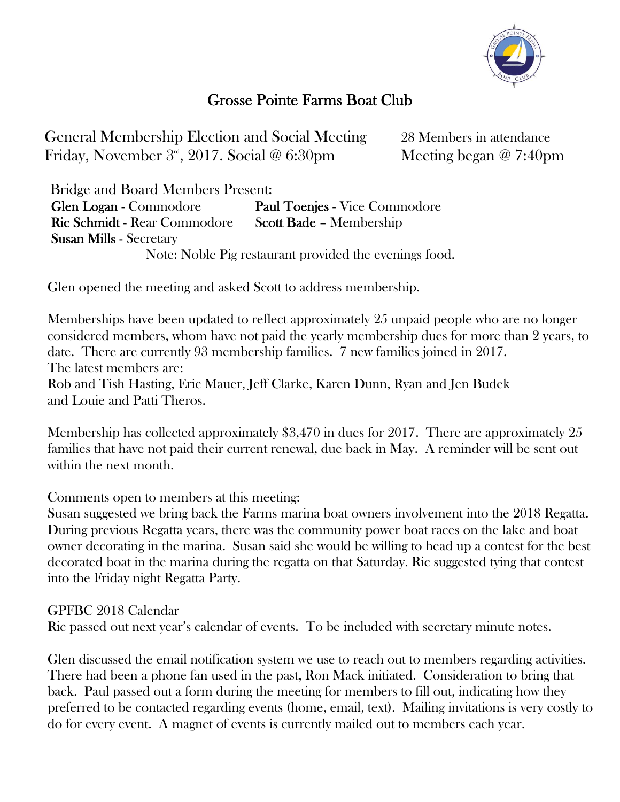

## Grosse Pointe Farms Boat Club

 General Membership Election and Social Meeting 28 Members in attendance Friday, November  $3<sup>rd</sup>$ , 2017. Social @ 6:30pm Meeting began @ 7:40pm

Bridge and Board Members Present: Glen Logan - Commodore Paul Toenjes - Vice Commodore Ric Schmidt - Rear Commodore Scott Bade - Membership Susan Mills - Secretary Note: Noble Pig restaurant provided the evenings food.

Glen opened the meeting and asked Scott to address membership.

Memberships have been updated to reflect approximately 25 unpaid people who are no longer considered members, whom have not paid the yearly membership dues for more than 2 years, to date. There are currently 93 membership families. 7 new families joined in 2017. The latest members are: Rob and Tish Hasting, Eric Mauer, Jeff Clarke, Karen Dunn, Ryan and Jen Budek and Louie and Patti Theros.

Membership has collected approximately \$3,470 in dues for 2017. There are approximately 25 families that have not paid their current renewal, due back in May. A reminder will be sent out within the next month.

Comments open to members at this meeting:

Susan suggested we bring back the Farms marina boat owners involvement into the 2018 Regatta. During previous Regatta years, there was the community power boat races on the lake and boat owner decorating in the marina. Susan said she would be willing to head up a contest for the best decorated boat in the marina during the regatta on that Saturday. Ric suggested tying that contest into the Friday night Regatta Party.

GPFBC 2018 Calendar

Ric passed out next year's calendar of events. To be included with secretary minute notes.

Glen discussed the email notification system we use to reach out to members regarding activities. There had been a phone fan used in the past, Ron Mack initiated. Consideration to bring that back. Paul passed out a form during the meeting for members to fill out, indicating how they preferred to be contacted regarding events (home, email, text). Mailing invitations is very costly to do for every event. A magnet of events is currently mailed out to members each year.